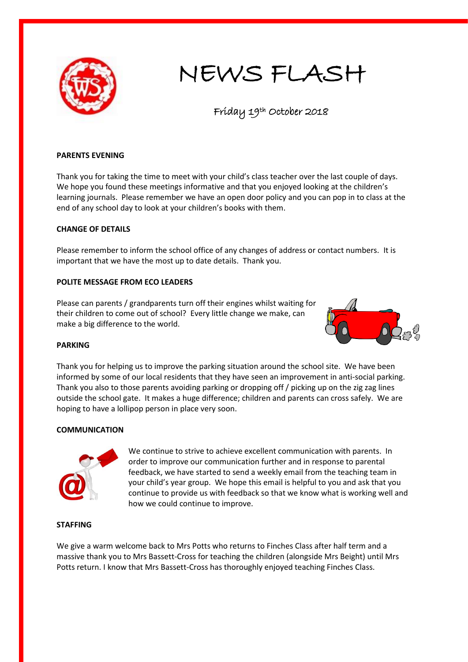

# NEWS FLASH

Friday 19th October 2018

## **PARENTS EVENING**

Thank you for taking the time to meet with your child's class teacher over the last couple of days. We hope you found these meetings informative and that you enjoyed looking at the children's learning journals. Please remember we have an open door policy and you can pop in to class at the end of any school day to look at your children's books with them.

## **CHANGE OF DETAILS**

Please remember to inform the school office of any changes of address or contact numbers. It is important that we have the most up to date details. Thank you.

#### **POLITE MESSAGE FROM ECO LEADERS**

Please can parents / grandparents turn off their engines whilst waiting for their children to come out of school? Every little change we make, can make a big difference to the world.



#### **PARKING**

Thank you for helping us to improve the parking situation around the school site. We have been informed by some of our local residents that they have seen an improvement in anti-social parking. Thank you also to those parents avoiding parking or dropping off / picking up on the zig zag lines outside the school gate. It makes a huge difference; children and parents can cross safely. We are hoping to have a lollipop person in place very soon.

#### **COMMUNICATION**



We continue to strive to achieve excellent communication with parents. In order to improve our communication further and in response to parental feedback, we have started to send a weekly email from the teaching team in your child's year group. We hope this email is helpful to you and ask that you continue to provide us with feedback so that we know what is working well and how we could continue to improve.

**STAFFING**

We give a warm welcome back to Mrs Potts who returns to Finches Class after half term and a massive thank you to Mrs Bassett-Cross for teaching the children (alongside Mrs Beight) until Mrs Potts return. I know that Mrs Bassett-Cross has thoroughly enjoyed teaching Finches Class.